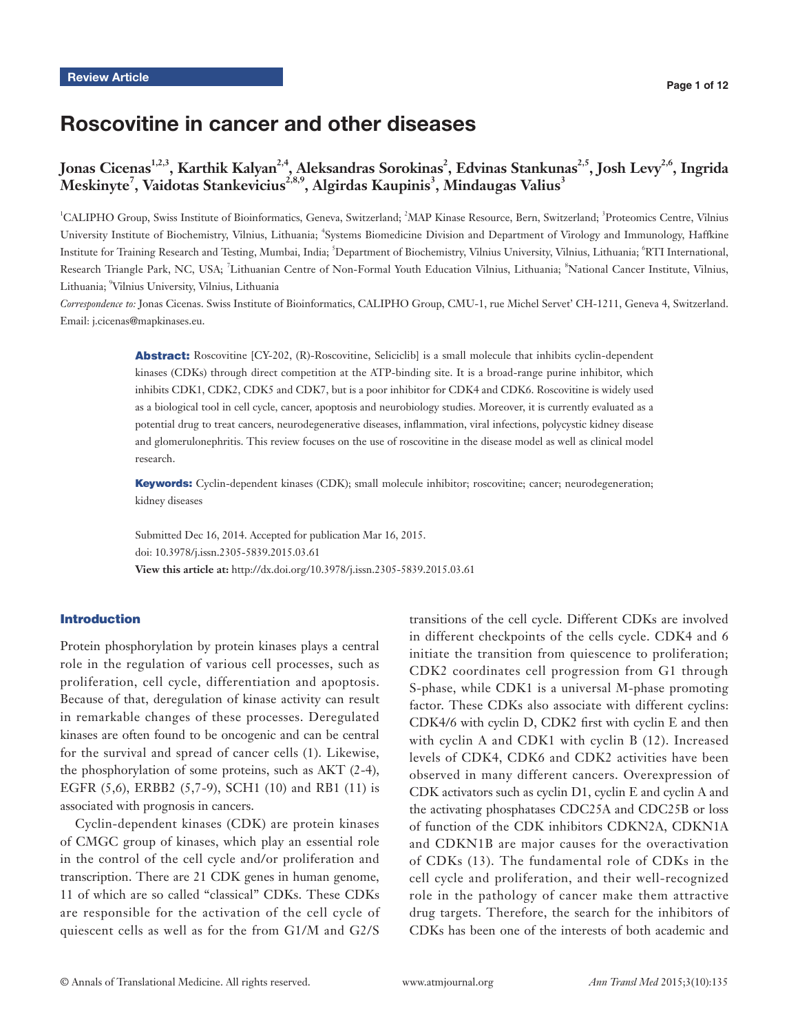# Roscovitine in cancer and other diseases

## Jonas Cicenas<sup>1,2,3</sup>, Karthik Kalyan<sup>2,4</sup>, Aleksandras Sorokinas<sup>2</sup>, Edvinas Stankunas<sup>2,5</sup>, Josh Levy<sup>2,6</sup>, Ingrida  $\mathbf{M}$ eskinyte<sup>7</sup>, Vaidotas Stankevicius<sup>2,8,9</sup>, Algirdas Kaupinis<sup>3</sup>, Mindaugas Valius<sup>3</sup>

<sup>1</sup>CALIPHO Group, Swiss Institute of Bioinformatics, Geneva, Switzerland; <sup>2</sup>MAP Kinase Resource, Bern, Switzerland; <sup>3</sup>Proteomics Centre, Vilnius University Institute of Biochemistry, Vilnius, Lithuania; <sup>4</sup>Systems Biomedicine Division and Department of Virology and Immunology, Haffkine Institute for Training Research and Testing, Mumbai, India; <sup>5</sup> Department of Biochemistry, Vilnius University, Vilnius, Lithuania; <sup>6</sup> RTI International, Research Triangle Park, NC, USA; <sup>7</sup>Lithuanian Centre of Non-Formal Youth Education Vilnius, Lithuania; <sup>8</sup>National Cancer Institute, Vilnius, Lithuania; 9 Vilnius University, Vilnius, Lithuania

*Correspondence to:* Jonas Cicenas. Swiss Institute of Bioinformatics, CALIPHO Group, CMU-1, rue Michel Servet' CH-1211, Geneva 4, Switzerland. Email: j.cicenas@mapkinases.eu.

> Abstract: Roscovitine [CY-202, (R)-Roscovitine, Seliciclib] is a small molecule that inhibits cyclin-dependent kinases (CDKs) through direct competition at the ATP-binding site. It is a broad-range purine inhibitor, which inhibits CDK1, CDK2, CDK5 and CDK7, but is a poor inhibitor for CDK4 and CDK6. Roscovitine is widely used as a biological tool in cell cycle, cancer, apoptosis and neurobiology studies. Moreover, it is currently evaluated as a potential drug to treat cancers, neurodegenerative diseases, inflammation, viral infections, polycystic kidney disease and glomerulonephritis. This review focuses on the use of roscovitine in the disease model as well as clinical model research.

> Keywords: Cyclin-dependent kinases (CDK); small molecule inhibitor; roscovitine; cancer; neurodegeneration; kidney diseases

Submitted Dec 16, 2014. Accepted for publication Mar 16, 2015. doi: 10.3978/j.issn.2305-5839.2015.03.61 **View this article at:** http://dx.doi.org/10.3978/j.issn.2305-5839.2015.03.61

#### Introduction

Protein phosphorylation by protein kinases plays a central role in the regulation of various cell processes, such as proliferation, cell cycle, differentiation and apoptosis. Because of that, deregulation of kinase activity can result in remarkable changes of these processes. Deregulated kinases are often found to be oncogenic and can be central for the survival and spread of cancer cells (1). Likewise, the phosphorylation of some proteins, such as AKT (2-4), EGFR (5,6), ERBB2 (5,7-9), SCH1 (10) and RB1 (11) is associated with prognosis in cancers.

Cyclin-dependent kinases (CDK) are protein kinases of CMGC group of kinases, which play an essential role in the control of the cell cycle and/or proliferation and transcription. There are 21 CDK genes in human genome, 11 of which are so called "classical" CDKs. These CDKs are responsible for the activation of the cell cycle of quiescent cells as well as for the from G1/M and G2/S

transitions of the cell cycle. Different CDKs are involved in different checkpoints of the cells cycle. CDK4 and 6 initiate the transition from quiescence to proliferation; CDK2 coordinates cell progression from G1 through S-phase, while CDK1 is a universal M-phase promoting factor. These CDKs also associate with different cyclins: CDK4/6 with cyclin D, CDK2 first with cyclin E and then with cyclin A and CDK1 with cyclin B (12). Increased levels of CDK4, CDK6 and CDK2 activities have been observed in many different cancers. Overexpression of CDK activators such as cyclin D1, cyclin E and cyclin A and the activating phosphatases CDC25A and CDC25B or loss of function of the CDK inhibitors CDKN2A, CDKN1A and CDKN1B are major causes for the overactivation of CDKs (13). The fundamental role of CDKs in the cell cycle and proliferation, and their well-recognized role in the pathology of cancer make them attractive drug targets. Therefore, the search for the inhibitors of CDKs has been one of the interests of both academic and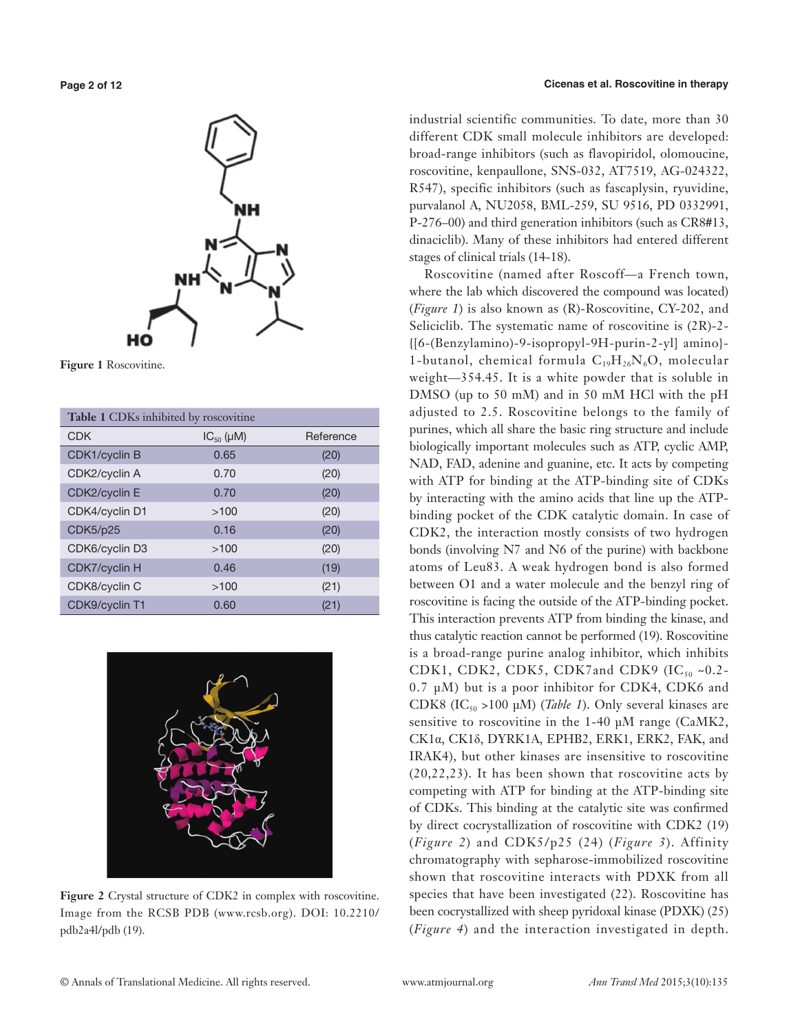

**Figure 1** Roscovitine.

| Table 1 CDKs inhibited by roscovitine |                      |           |  |  |
|---------------------------------------|----------------------|-----------|--|--|
| <b>CDK</b>                            | $IC_{50}$ ( $\mu$ M) | Reference |  |  |
| <b>CDK1/cyclin B</b>                  | 0.65                 | (20)      |  |  |
| CDK2/cyclin A                         | 0.70                 | (20)      |  |  |
| CDK2/cyclin E                         | 0.70                 | (20)      |  |  |
| CDK4/cyclin D1                        | >100                 | (20)      |  |  |
| <b>CDK5/p25</b>                       | 0.16                 | (20)      |  |  |
| CDK6/cyclin D3                        | >100                 | (20)      |  |  |
| CDK7/cyclin H                         | 0.46                 | (19)      |  |  |
| CDK8/cyclin C                         | >100                 | (21)      |  |  |
| CDK9/cyclin T1                        | 0.60                 | (21)      |  |  |



**Figure 2** Crystal structure of CDK2 in complex with roscovitine. Image from the RCSB PDB (www.rcsb.org). DOI: 10.2210/ pdb2a4l/pdb (19).

industrial scientific communities. To date, more than 30 different CDK small molecule inhibitors are developed: broad-range inhibitors (such as flavopiridol, olomoucine, roscovitine, kenpaullone, SNS-032, AT7519, AG-024322, R547), specific inhibitors (such as fascaplysin, ryuvidine, purvalanol A, NU2058, BML-259, SU 9516, PD 0332991, P-276–00) and third generation inhibitors (such as CR8#13, dinaciclib). Many of these inhibitors had entered different stages of clinical trials (14-18).

Roscovitine (named after Roscoff—a French town, where the lab which discovered the compound was located) (*Figure 1*) is also known as (R)-Roscovitine, CY-202, and Seliciclib. The systematic name of roscovitine is (2R)-2- {[6-(Benzylamino)-9-isopropyl-9H-purin-2-yl] amino}- 1-butanol, chemical formula  $C_{19}H_{26}N_6O$ , molecular weight—354.45. It is a white powder that is soluble in DMSO (up to 50 mM) and in 50 mM HCl with the pH adjusted to 2.5. Roscovitine belongs to the family of purines, which all share the basic ring structure and include biologically important molecules such as ATP, cyclic AMP, NAD, FAD, adenine and guanine, etc. It acts by competing with ATP for binding at the ATP-binding site of CDKs by interacting with the amino acids that line up the ATPbinding pocket of the CDK catalytic domain. In case of CDK2, the interaction mostly consists of two hydrogen bonds (involving N7 and N6 of the purine) with backbone atoms of Leu83. A weak hydrogen bond is also formed between O1 and a water molecule and the benzyl ring of roscovitine is facing the outside of the ATP-binding pocket. This interaction prevents ATP from binding the kinase, and thus catalytic reaction cannot be performed (19). Roscovitine is a broad-range purine analog inhibitor, which inhibits CDK1, CDK2, CDK5, CDK7and CDK9 (IC $_{50}$  ~0.2-0.7 μM) but is a poor inhibitor for CDK4, CDK6 and CDK8 (IC<sub>50</sub> >100 μM) (*Table 1*). Only several kinases are sensitive to roscovitine in the 1-40 µM range (CaMK2, CK1α, CK1δ, DYRK1A, EPHB2, ERK1, ERK2, FAK, and IRAK4), but other kinases are insensitive to roscovitine (20,22,23). It has been shown that roscovitine acts by competing with ATP for binding at the ATP-binding site of CDKs. This binding at the catalytic site was confirmed by direct cocrystallization of roscovitine with CDK2 (19) (*Figure 2*) and CDK5/p25 (24) (*Figure 3*). Affinity chromatography with sepharose-immobilized roscovitine shown that roscovitine interacts with PDXK from all species that have been investigated (22). Roscovitine has been cocrystallized with sheep pyridoxal kinase (PDXK) (25) (*Figure 4*) and the interaction investigated in depth.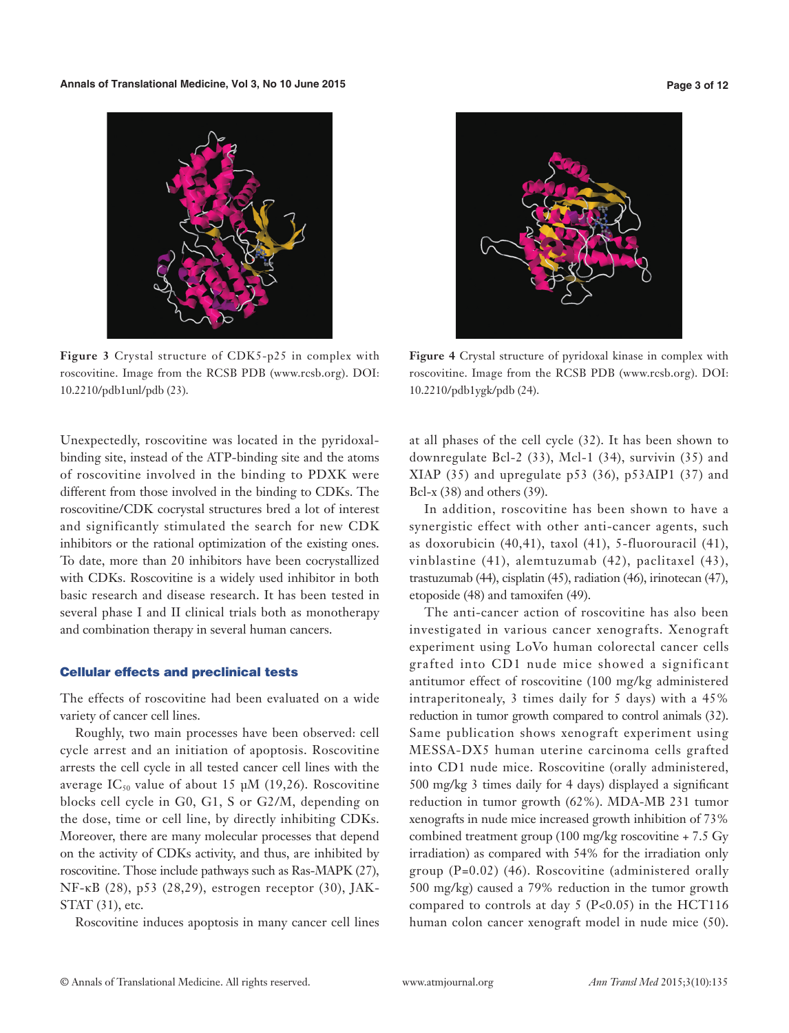

**Figure 3** Crystal structure of CDK5-p25 in complex with roscovitine. Image from the RCSB PDB (www.rcsb.org). DOI: 10.2210/pdb1unl/pdb (23).

Unexpectedly, roscovitine was located in the pyridoxalbinding site, instead of the ATP-binding site and the atoms of roscovitine involved in the binding to PDXK were different from those involved in the binding to CDKs. The roscovitine/CDK cocrystal structures bred a lot of interest and significantly stimulated the search for new CDK inhibitors or the rational optimization of the existing ones. To date, more than 20 inhibitors have been cocrystallized with CDKs. Roscovitine is a widely used inhibitor in both basic research and disease research. It has been tested in several phase I and II clinical trials both as monotherapy and combination therapy in several human cancers.

#### Cellular effects and preclinical tests

The effects of roscovitine had been evaluated on a wide variety of cancer cell lines.

Roughly, two main processes have been observed: cell cycle arrest and an initiation of apoptosis. Roscovitine arrests the cell cycle in all tested cancer cell lines with the average IC<sub>50</sub> value of about 15  $\mu$ M (19,26). Roscovitine blocks cell cycle in G0, G1, S or G2/M, depending on the dose, time or cell line, by directly inhibiting CDKs. Moreover, there are many molecular processes that depend on the activity of CDKs activity, and thus, are inhibited by roscovitine. Those include pathways such as Ras-MAPK (27), NF-κB (28), p53 (28,29), estrogen receptor (30), JAK-STAT (31), etc.

Roscovitine induces apoptosis in many cancer cell lines



**Figure 4** Crystal structure of pyridoxal kinase in complex with roscovitine. Image from the RCSB PDB (www.rcsb.org). DOI: 10.2210/pdb1ygk/pdb (24).

at all phases of the cell cycle (32). It has been shown to downregulate Bcl-2 (33), Mcl-1 (34), survivin (35) and XIAP (35) and upregulate p53 (36), p53AIP1 (37) and Bcl- $x(38)$  and others (39).

In addition, roscovitine has been shown to have a synergistic effect with other anti-cancer agents, such as doxorubicin (40,41), taxol (41), 5-fluorouracil (41), vinblastine (41), alemtuzumab (42), paclitaxel (43), trastuzumab (44), cisplatin (45), radiation (46), irinotecan (47), etoposide (48) and tamoxifen (49).

The anti-cancer action of roscovitine has also been investigated in various cancer xenografts. Xenograft experiment using LoVo human colorectal cancer cells grafted into CD1 nude mice showed a significant antitumor effect of roscovitine (100 mg/kg administered intraperitonealy, 3 times daily for 5 days) with a 45% reduction in tumor growth compared to control animals (32). Same publication shows xenograft experiment using MESSA-DX5 human uterine carcinoma cells grafted into CD1 nude mice. Roscovitine (orally administered, 500 mg/kg 3 times daily for 4 days) displayed a significant reduction in tumor growth (62%). MDA-MB 231 tumor xenografts in nude mice increased growth inhibition of 73% combined treatment group (100 mg/kg roscovitine + 7.5 Gy irradiation) as compared with 54% for the irradiation only group (P=0.02) (46). Roscovitine (administered orally 500 mg/kg) caused a 79% reduction in the tumor growth compared to controls at day  $5$  (P<0.05) in the HCT116 human colon cancer xenograft model in nude mice (50).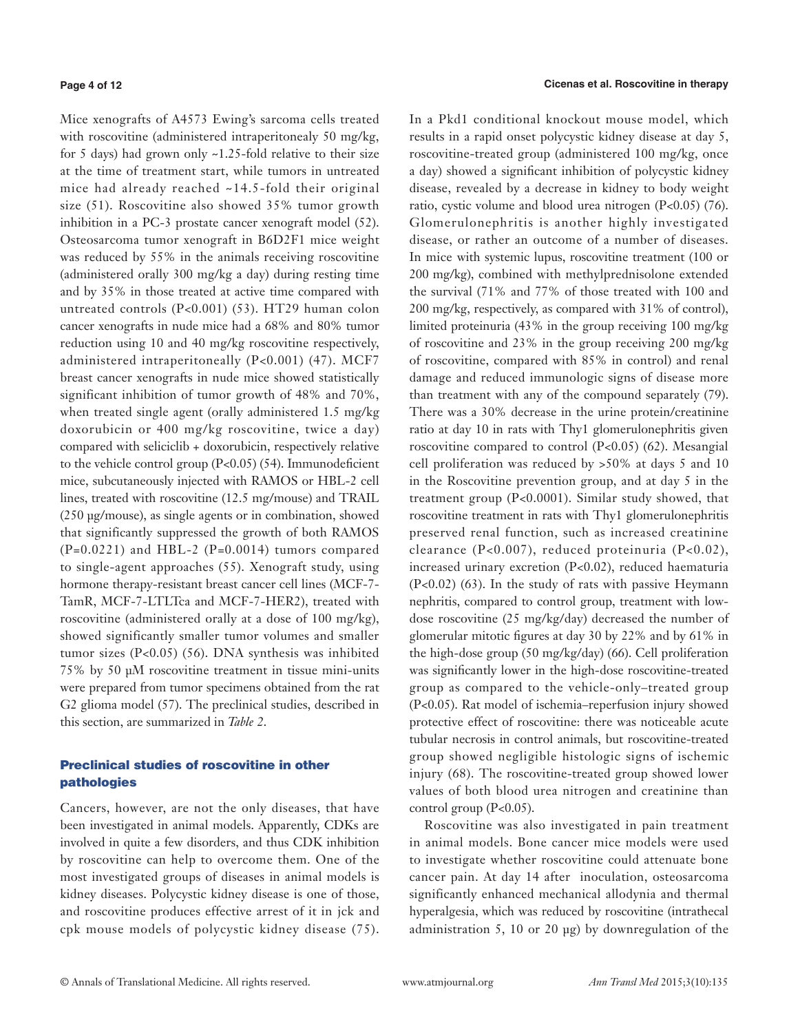#### **Page 4 of 12**

Mice xenografts of A4573 Ewing's sarcoma cells treated with roscovitine (administered intraperitonealy 50 mg/kg, for 5 days) had grown only ~1.25-fold relative to their size at the time of treatment start, while tumors in untreated mice had already reached ~14.5-fold their original size (51). Roscovitine also showed 35% tumor growth inhibition in a PC-3 prostate cancer xenograft model (52). Osteosarcoma tumor xenograft in B6D2F1 mice weight was reduced by 55% in the animals receiving roscovitine (administered orally 300 mg/kg a day) during resting time and by 35% in those treated at active time compared with untreated controls (P<0.001) (53). HT29 human colon cancer xenografts in nude mice had a 68% and 80% tumor reduction using 10 and 40 mg/kg roscovitine respectively, administered intraperitoneally (P<0.001) (47). MCF7 breast cancer xenografts in nude mice showed statistically significant inhibition of tumor growth of 48% and 70%, when treated single agent (orally administered 1.5 mg/kg doxorubicin or 400 mg/kg roscovitine, twice a day) compared with seliciclib + doxorubicin, respectively relative to the vehicle control group (P<0.05) (54). Immunodeficient mice, subcutaneously injected with RAMOS or HBL-2 cell lines, treated with roscovitine (12.5 mg/mouse) and TRAIL (250 µg/mouse), as single agents or in combination, showed that significantly suppressed the growth of both RAMOS  $(P=0.0221)$  and HBL-2  $(P=0.0014)$  tumors compared to single-agent approaches (55). Xenograft study, using hormone therapy-resistant breast cancer cell lines (MCF-7- TamR, MCF-7-LTLTca and MCF-7-HER2), treated with roscovitine (administered orally at a dose of 100 mg/kg), showed significantly smaller tumor volumes and smaller tumor sizes (P<0.05) (56). DNA synthesis was inhibited 75% by 50 μM roscovitine treatment in tissue mini-units were prepared from tumor specimens obtained from the rat G2 glioma model (57). The preclinical studies, described in this section, are summarized in *Table 2*.

## Preclinical studies of roscovitine in other pathologies

Cancers, however, are not the only diseases, that have been investigated in animal models. Apparently, CDKs are involved in quite a few disorders, and thus CDK inhibition by roscovitine can help to overcome them. One of the most investigated groups of diseases in animal models is kidney diseases. Polycystic kidney disease is one of those, and roscovitine produces effective arrest of it in jck and cpk mouse models of polycystic kidney disease (75).

In a Pkd1 conditional knockout mouse model, which results in a rapid onset polycystic kidney disease at day 5, roscovitine-treated group (administered 100 mg/kg, once a day) showed a significant inhibition of polycystic kidney disease, revealed by a decrease in kidney to body weight ratio, cystic volume and blood urea nitrogen (P<0.05) (76). Glomerulonephritis is another highly investigated disease, or rather an outcome of a number of diseases. In mice with systemic lupus, roscovitine treatment (100 or 200 mg/kg), combined with methylprednisolone extended the survival (71% and 77% of those treated with 100 and 200 mg/kg, respectively, as compared with 31% of control), limited proteinuria (43% in the group receiving 100 mg/kg of roscovitine and 23% in the group receiving 200 mg/kg of roscovitine, compared with 85% in control) and renal damage and reduced immunologic signs of disease more than treatment with any of the compound separately (79). There was a 30% decrease in the urine protein/creatinine ratio at day 10 in rats with Thy1 glomerulonephritis given roscovitine compared to control (P<0.05) (62). Mesangial cell proliferation was reduced by >50% at days 5 and 10 in the Roscovitine prevention group, and at day 5 in the treatment group (P<0.0001). Similar study showed, that roscovitine treatment in rats with Thy1 glomerulonephritis preserved renal function, such as increased creatinine clearance (P<0.007), reduced proteinuria (P<0.02), increased urinary excretion (P<0.02), reduced haematuria (P<0.02) (63). In the study of rats with passive Heymann nephritis, compared to control group, treatment with lowdose roscovitine (25 mg/kg/day) decreased the number of glomerular mitotic figures at day 30 by 22% and by 61% in the high-dose group (50 mg/kg/day) (66). Cell proliferation was significantly lower in the high-dose roscovitine-treated group as compared to the vehicle-only–treated group (P<0.05). Rat model of ischemia–reperfusion injury showed protective effect of roscovitine: there was noticeable acute tubular necrosis in control animals, but roscovitine-treated group showed negligible histologic signs of ischemic injury (68). The roscovitine-treated group showed lower values of both blood urea nitrogen and creatinine than control group  $(P<0.05)$ .

Roscovitine was also investigated in pain treatment in animal models. Bone cancer mice models were used to investigate whether roscovitine could attenuate bone cancer pain. At day 14 after inoculation, osteosarcoma significantly enhanced mechanical allodynia and thermal hyperalgesia, which was reduced by roscovitine (intrathecal administration 5, 10 or 20 μg) by downregulation of the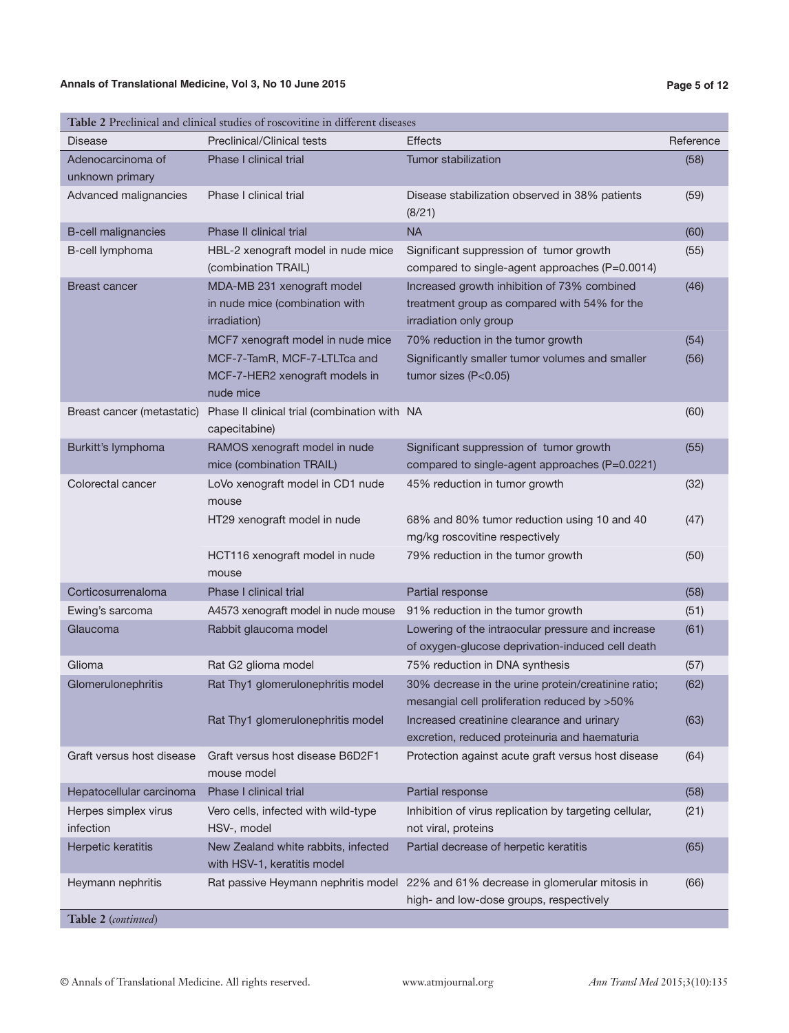#### **Annals of Translational Medicine, Vol 3, No 10 June 2015 Page 5 of 12**

| <b>Disease</b>                       | Table 2 I Technical and chineal studies of Foscovidile in unicient disease:<br><b>Preclinical/Clinical tests</b> | <b>Effects</b>                                                                                                               | Reference |
|--------------------------------------|------------------------------------------------------------------------------------------------------------------|------------------------------------------------------------------------------------------------------------------------------|-----------|
| Adenocarcinoma of<br>unknown primary | Phase I clinical trial                                                                                           | Tumor stabilization                                                                                                          | (58)      |
| Advanced malignancies                | Phase I clinical trial                                                                                           | Disease stabilization observed in 38% patients<br>(8/21)                                                                     | (59)      |
| <b>B-cell malignancies</b>           | Phase II clinical trial                                                                                          | <b>NA</b>                                                                                                                    | (60)      |
| B-cell lymphoma                      | HBL-2 xenograft model in nude mice<br>(combination TRAIL)                                                        | Significant suppression of tumor growth<br>compared to single-agent approaches (P=0.0014)                                    | (55)      |
| <b>Breast cancer</b>                 | MDA-MB 231 xenograft model<br>in nude mice (combination with<br>irradiation)                                     | Increased growth inhibition of 73% combined<br>treatment group as compared with 54% for the<br>irradiation only group        | (46)      |
|                                      | MCF7 xenograft model in nude mice                                                                                | 70% reduction in the tumor growth                                                                                            | (54)      |
|                                      | MCF-7-TamR, MCF-7-LTLTca and<br>MCF-7-HER2 xenograft models in<br>nude mice                                      | Significantly smaller tumor volumes and smaller<br>tumor sizes $(P<0.05)$                                                    | (56)      |
| Breast cancer (metastatic)           | Phase II clinical trial (combination with NA<br>capecitabine)                                                    |                                                                                                                              | (60)      |
| Burkitt's lymphoma                   | RAMOS xenograft model in nude<br>mice (combination TRAIL)                                                        | Significant suppression of tumor growth<br>compared to single-agent approaches (P=0.0221)                                    | (55)      |
| Colorectal cancer                    | LoVo xenograft model in CD1 nude<br>mouse                                                                        | 45% reduction in tumor growth                                                                                                | (32)      |
|                                      | HT29 xenograft model in nude                                                                                     | 68% and 80% tumor reduction using 10 and 40<br>mg/kg roscovitine respectively                                                | (47)      |
|                                      | HCT116 xenograft model in nude<br>mouse                                                                          | 79% reduction in the tumor growth                                                                                            | (50)      |
| Corticosurrenaloma                   | Phase I clinical trial                                                                                           | Partial response                                                                                                             | (58)      |
| Ewing's sarcoma                      | A4573 xenograft model in nude mouse                                                                              | 91% reduction in the tumor growth                                                                                            | (51)      |
| Glaucoma                             | Rabbit glaucoma model                                                                                            | Lowering of the intraocular pressure and increase<br>of oxygen-glucose deprivation-induced cell death                        | (61)      |
| Glioma                               | Rat G2 glioma model                                                                                              | 75% reduction in DNA synthesis                                                                                               | (57)      |
| Glomerulonephritis                   | Rat Thy1 glomerulonephritis model                                                                                | 30% decrease in the urine protein/creatinine ratio;<br>mesangial cell proliferation reduced by >50%                          | (62)      |
|                                      | Rat Thy1 glomerulonephritis model                                                                                | Increased creatinine clearance and urinary<br>excretion, reduced proteinuria and haematuria                                  | (63)      |
| Graft versus host disease            | Graft versus host disease B6D2F1<br>mouse model                                                                  | Protection against acute graft versus host disease                                                                           | (64)      |
| Hepatocellular carcinoma             | Phase I clinical trial                                                                                           | Partial response                                                                                                             | (58)      |
| Herpes simplex virus<br>infection    | Vero cells, infected with wild-type<br>HSV-, model                                                               | Inhibition of virus replication by targeting cellular,<br>not viral, proteins                                                | (21)      |
| Herpetic keratitis                   | New Zealand white rabbits, infected<br>with HSV-1, keratitis model                                               | Partial decrease of herpetic keratitis                                                                                       | (65)      |
| Heymann nephritis                    |                                                                                                                  | Rat passive Heymann nephritis model 22% and 61% decrease in glomerular mitosis in<br>high- and low-dose groups, respectively | (66)      |
| Table 2 (continued)                  |                                                                                                                  |                                                                                                                              |           |

**Table 2** Preclinical and clinical studies of roscovitine in different diseases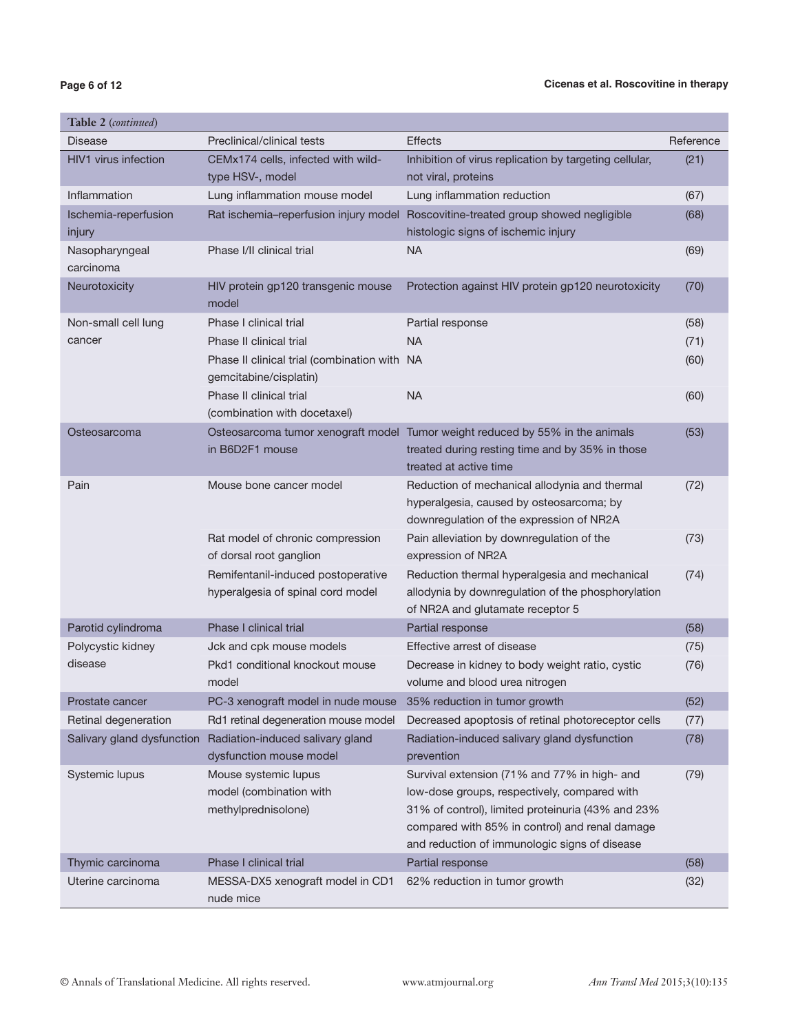## **Page 6 of 12**

| <b>Table 2</b> (continued)     |                                                                         |                                                                                                                                                                                                                                                      |           |
|--------------------------------|-------------------------------------------------------------------------|------------------------------------------------------------------------------------------------------------------------------------------------------------------------------------------------------------------------------------------------------|-----------|
| <b>Disease</b>                 | Preclinical/clinical tests                                              | <b>Effects</b>                                                                                                                                                                                                                                       | Reference |
| HIV1 virus infection           | CEMx174 cells, infected with wild-<br>type HSV-, model                  | Inhibition of virus replication by targeting cellular,<br>not viral, proteins                                                                                                                                                                        | (21)      |
| Inflammation                   | Lung inflammation mouse model                                           | Lung inflammation reduction                                                                                                                                                                                                                          | (67)      |
| Ischemia-reperfusion<br>injury | Rat ischemia-reperfusion injury model                                   | Roscovitine-treated group showed negligible<br>histologic signs of ischemic injury                                                                                                                                                                   | (68)      |
| Nasopharyngeal<br>carcinoma    | Phase I/II clinical trial                                               | <b>NA</b>                                                                                                                                                                                                                                            | (69)      |
| Neurotoxicity                  | HIV protein gp120 transgenic mouse<br>model                             | Protection against HIV protein gp120 neurotoxicity                                                                                                                                                                                                   | (70)      |
| Non-small cell lung            | Phase I clinical trial                                                  | Partial response                                                                                                                                                                                                                                     | (58)      |
| cancer                         | Phase II clinical trial                                                 | <b>NA</b>                                                                                                                                                                                                                                            | (71)      |
|                                | Phase II clinical trial (combination with NA<br>gemcitabine/cisplatin)  |                                                                                                                                                                                                                                                      | (60)      |
|                                | Phase II clinical trial<br>(combination with docetaxel)                 | <b>NA</b>                                                                                                                                                                                                                                            | (60)      |
| Osteosarcoma                   | in B6D2F1 mouse                                                         | Osteosarcoma tumor xenograft model Tumor weight reduced by 55% in the animals<br>treated during resting time and by 35% in those<br>treated at active time                                                                                           | (53)      |
| Pain                           | Mouse bone cancer model                                                 | Reduction of mechanical allodynia and thermal<br>hyperalgesia, caused by osteosarcoma; by<br>downregulation of the expression of NR2A                                                                                                                | (72)      |
|                                | Rat model of chronic compression<br>of dorsal root ganglion             | Pain alleviation by downregulation of the<br>expression of NR2A                                                                                                                                                                                      | (73)      |
|                                | Remifentanil-induced postoperative<br>hyperalgesia of spinal cord model | Reduction thermal hyperalgesia and mechanical<br>allodynia by downregulation of the phosphorylation<br>of NR2A and glutamate receptor 5                                                                                                              | (74)      |
| Parotid cylindroma             | Phase I clinical trial                                                  | Partial response                                                                                                                                                                                                                                     | (58)      |
| Polycystic kidney              | Jck and cpk mouse models                                                | Effective arrest of disease                                                                                                                                                                                                                          | (75)      |
| disease                        | Pkd1 conditional knockout mouse<br>model                                | Decrease in kidney to body weight ratio, cystic<br>volume and blood urea nitrogen                                                                                                                                                                    | (76)      |
| Prostate cancer                | PC-3 xenograft model in nude mouse                                      | 35% reduction in tumor growth                                                                                                                                                                                                                        | (52)      |
| Retinal degeneration           | Rd1 retinal degeneration mouse model                                    | Decreased apoptosis of retinal photoreceptor cells                                                                                                                                                                                                   | (77)      |
| Salivary gland dysfunction     | Radiation-induced salivary gland<br>dysfunction mouse model             | Radiation-induced salivary gland dysfunction<br>prevention                                                                                                                                                                                           | (78)      |
| Systemic lupus                 | Mouse systemic lupus<br>model (combination with<br>methylprednisolone)  | Survival extension (71% and 77% in high- and<br>low-dose groups, respectively, compared with<br>31% of control), limited proteinuria (43% and 23%<br>compared with 85% in control) and renal damage<br>and reduction of immunologic signs of disease | (79)      |
| Thymic carcinoma               | Phase I clinical trial                                                  | Partial response                                                                                                                                                                                                                                     | (58)      |
| Uterine carcinoma              | MESSA-DX5 xenograft model in CD1<br>nude mice                           | 62% reduction in tumor growth                                                                                                                                                                                                                        | (32)      |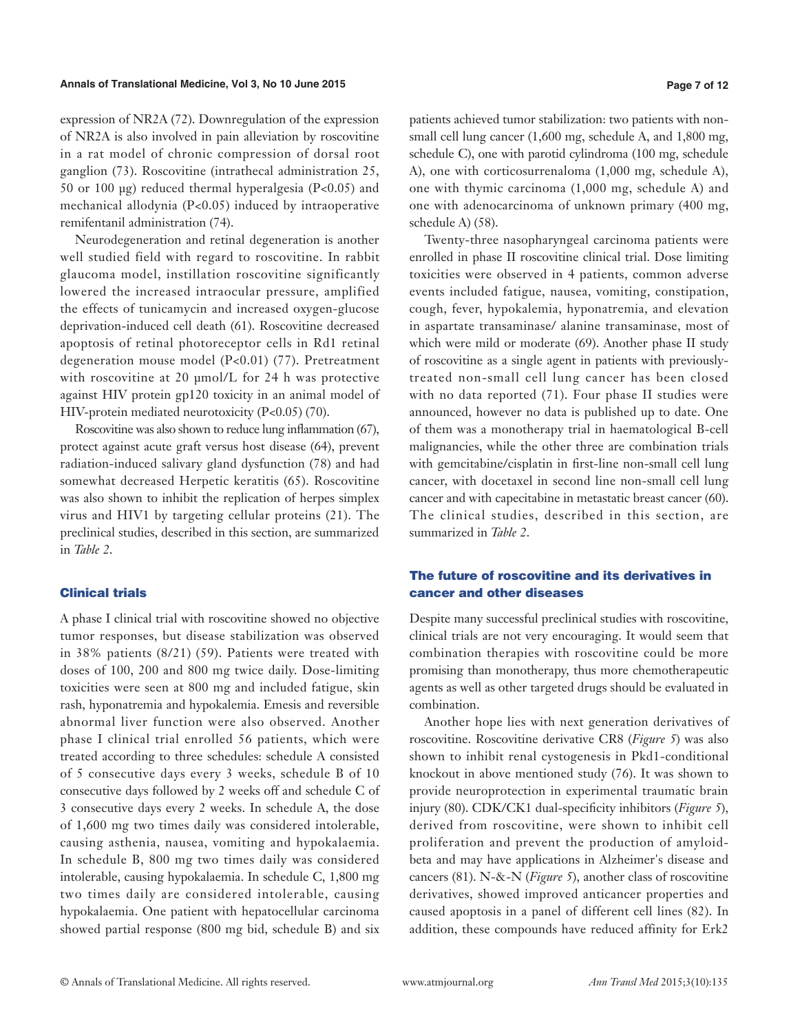#### **Annals of Translational Medicine, Vol 3, No 10 June 2015 Page 7 of 12**

expression of NR2A (72). Downregulation of the expression of NR2A is also involved in pain alleviation by roscovitine in a rat model of chronic compression of dorsal root ganglion (73). Roscovitine (intrathecal administration 25, 50 or 100 μg) reduced thermal hyperalgesia (P<0.05) and mechanical allodynia (P<0.05) induced by intraoperative remifentanil administration (74).

Neurodegeneration and retinal degeneration is another well studied field with regard to roscovitine. In rabbit glaucoma model, instillation roscovitine significantly lowered the increased intraocular pressure, amplified the effects of tunicamycin and increased oxygen-glucose deprivation-induced cell death (61). Roscovitine decreased apoptosis of retinal photoreceptor cells in Rd1 retinal degeneration mouse model (P<0.01) (77). Pretreatment with roscovitine at 20 µmol/L for 24 h was protective against HIV protein gp120 toxicity in an animal model of HIV-protein mediated neurotoxicity (P<0.05) (70).

Roscovitine was also shown to reduce lung inflammation (67), protect against acute graft versus host disease (64), prevent radiation-induced salivary gland dysfunction (78) and had somewhat decreased Herpetic keratitis (65). Roscovitine was also shown to inhibit the replication of herpes simplex virus and HIV1 by targeting cellular proteins (21). The preclinical studies, described in this section, are summarized in *Table 2*.

#### Clinical trials

A phase I clinical trial with roscovitine showed no objective tumor responses, but disease stabilization was observed in 38% patients (8/21) (59). Patients were treated with doses of 100, 200 and 800 mg twice daily. Dose-limiting toxicities were seen at 800 mg and included fatigue, skin rash, hyponatremia and hypokalemia. Emesis and reversible abnormal liver function were also observed. Another phase I clinical trial enrolled 56 patients, which were treated according to three schedules: schedule A consisted of 5 consecutive days every 3 weeks, schedule B of 10 consecutive days followed by 2 weeks off and schedule C of 3 consecutive days every 2 weeks. In schedule A, the dose of 1,600 mg two times daily was considered intolerable, causing asthenia, nausea, vomiting and hypokalaemia. In schedule B, 800 mg two times daily was considered intolerable, causing hypokalaemia. In schedule C, 1,800 mg two times daily are considered intolerable, causing hypokalaemia. One patient with hepatocellular carcinoma showed partial response (800 mg bid, schedule B) and six

patients achieved tumor stabilization: two patients with nonsmall cell lung cancer (1,600 mg, schedule A, and 1,800 mg, schedule C), one with parotid cylindroma (100 mg, schedule A), one with corticosurrenaloma (1,000 mg, schedule A), one with thymic carcinoma (1,000 mg, schedule A) and one with adenocarcinoma of unknown primary (400 mg, schedule A) (58).

Twenty-three nasopharyngeal carcinoma patients were enrolled in phase II roscovitine clinical trial. Dose limiting toxicities were observed in 4 patients, common adverse events included fatigue, nausea, vomiting, constipation, cough, fever, hypokalemia, hyponatremia, and elevation in aspartate transaminase/ alanine transaminase, most of which were mild or moderate (69). Another phase II study of roscovitine as a single agent in patients with previouslytreated non-small cell lung cancer has been closed with no data reported (71). Four phase II studies were announced, however no data is published up to date. One of them was a monotherapy trial in haematological B-cell malignancies, while the other three are combination trials with gemcitabine/cisplatin in first-line non-small cell lung cancer, with docetaxel in second line non-small cell lung cancer and with capecitabine in metastatic breast cancer (60). The clinical studies, described in this section, are summarized in *Table 2*.

## The future of roscovitine and its derivatives in cancer and other diseases

Despite many successful preclinical studies with roscovitine, clinical trials are not very encouraging. It would seem that combination therapies with roscovitine could be more promising than monotherapy, thus more chemotherapeutic agents as well as other targeted drugs should be evaluated in combination.

Another hope lies with next generation derivatives of roscovitine. Roscovitine derivative CR8 (*Figure 5*) was also shown to inhibit renal cystogenesis in Pkd1-conditional knockout in above mentioned study (76). It was shown to provide neuroprotection in experimental traumatic brain injury (80). CDK/CK1 dual-specificity inhibitors (*Figure 5*), derived from roscovitine, were shown to inhibit cell proliferation and prevent the production of amyloidbeta and may have applications in Alzheimer's disease and cancers (81). N-&-N (*Figure 5*), another class of roscovitine derivatives, showed improved anticancer properties and caused apoptosis in a panel of different cell lines (82). In addition, these compounds have reduced affinity for Erk2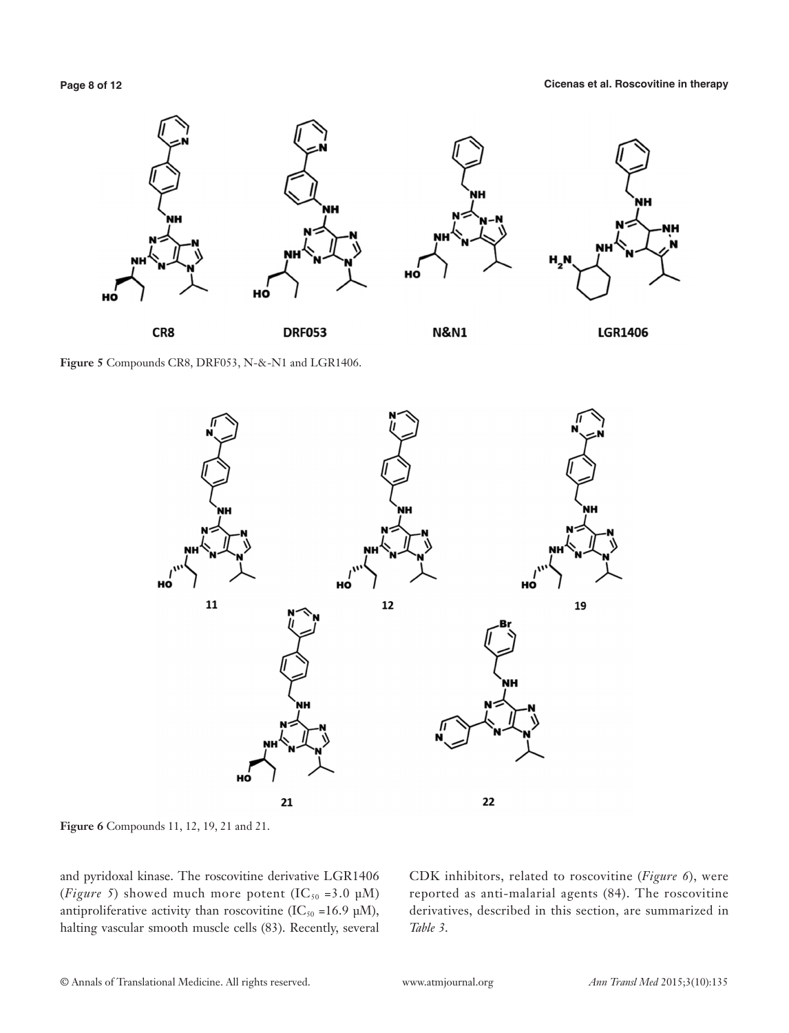

**Figure 5** Compounds CR8, DRF053, N-&-N1 and LGR1406.



**Figure 6** Compounds 11, 12, 19, 21 and 21.

and pyridoxal kinase. The roscovitine derivative LGR1406 (*Figure 5*) showed much more potent (IC<sub>50</sub> = 3.0 µM) antiproliferative activity than roscovitine (IC<sub>50</sub> =16.9 µM), halting vascular smooth muscle cells (83). Recently, several CDK inhibitors, related to roscovitine (*Figure 6*), were reported as anti-malarial agents (84). The roscovitine derivatives, described in this section, are summarized in *Table 3*.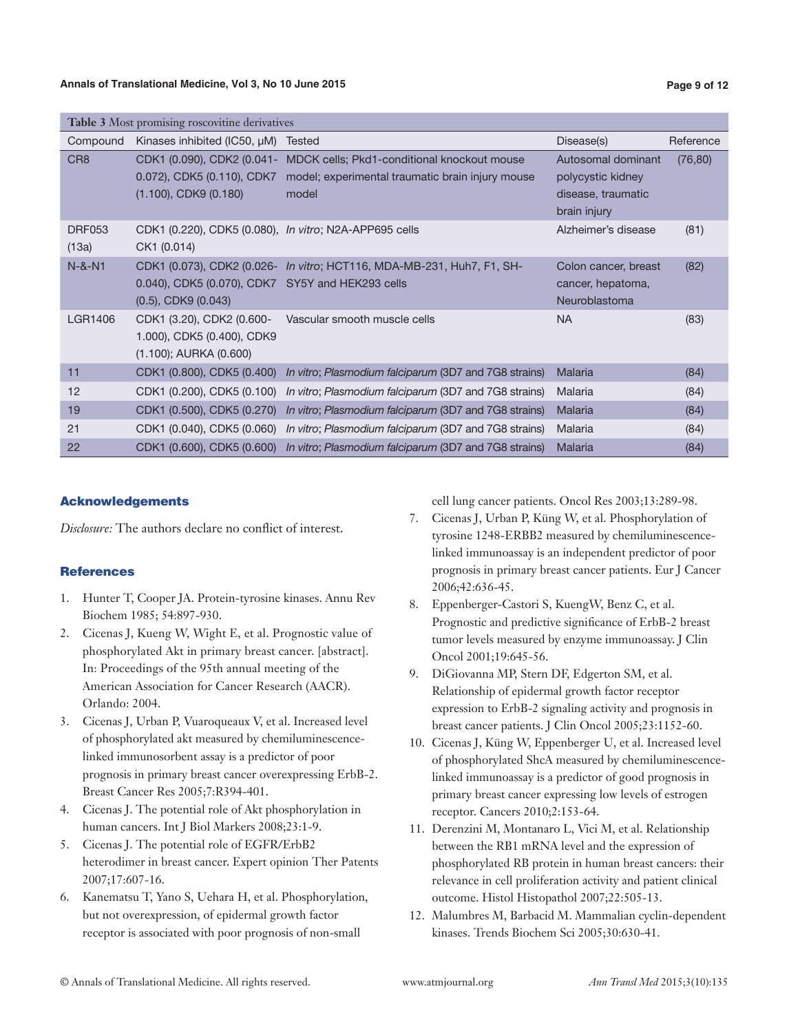| <b>Table 3</b> Most promising roscovitine derivatives |                                                                                        |                                                                                                          |                                                                               |           |  |
|-------------------------------------------------------|----------------------------------------------------------------------------------------|----------------------------------------------------------------------------------------------------------|-------------------------------------------------------------------------------|-----------|--|
| Compound                                              | Kinases inhibited (IC50, µM)                                                           | <b>Tested</b>                                                                                            | Disease(s)                                                                    | Reference |  |
| CR <sub>8</sub>                                       | CDK1 (0.090), CDK2 (0.041-<br>0.072), CDK5 (0.110), CDK7<br>$(1.100)$ , CDK9 $(0.180)$ | MDCK cells; Pkd1-conditional knockout mouse<br>model; experimental traumatic brain injury mouse<br>model | Autosomal dominant<br>polycystic kidney<br>disease, traumatic<br>brain injury | (76, 80)  |  |
| <b>DRF053</b><br>(13a)                                | CDK1 (0.220), CDK5 (0.080), In vitro; N2A-APP695 cells<br>CK1 (0.014)                  |                                                                                                          | Alzheimer's disease                                                           | (81)      |  |
| $N-8-N1$                                              | 0.040), CDK5 (0.070), CDK7 SY5Y and HEK293 cells<br>$(0.5)$ , CDK9 $(0.043)$           | CDK1 (0.073), CDK2 (0.026- In vitro; HCT116, MDA-MB-231, Huh7, F1, SH-                                   | Colon cancer, breast<br>cancer, hepatoma,<br>Neuroblastoma                    | (82)      |  |
| <b>LGR1406</b>                                        | CDK1 (3.20), CDK2 (0.600-<br>1.000), CDK5 (0.400), CDK9<br>$(1.100)$ ; AURKA $(0.600)$ | Vascular smooth muscle cells                                                                             | <b>NA</b>                                                                     | (83)      |  |
| 11                                                    |                                                                                        | CDK1 (0.800), CDK5 (0.400) In vitro; Plasmodium falciparum (3D7 and 7G8 strains)                         | Malaria                                                                       | (84)      |  |
| 12                                                    |                                                                                        | CDK1 (0.200), CDK5 (0.100) In vitro; Plasmodium falciparum (3D7 and 7G8 strains)                         | Malaria                                                                       | (84)      |  |
| 19                                                    |                                                                                        | CDK1 (0.500), CDK5 (0.270) In vitro; Plasmodium falciparum (3D7 and 7G8 strains)                         | Malaria                                                                       | (84)      |  |
| 21                                                    |                                                                                        | CDK1 (0.040), CDK5 (0.060) In vitro; Plasmodium falciparum (3D7 and 7G8 strains)                         | Malaria                                                                       | (84)      |  |
| 22                                                    |                                                                                        | CDK1 (0.600), CDK5 (0.600) In vitro; Plasmodium falciparum (3D7 and 7G8 strains)                         | Malaria                                                                       | (84)      |  |

#### Acknowledgements

*Disclosure:* The authors declare no conflict of interest.

#### **References**

- 1. Hunter T, Cooper JA. Protein-tyrosine kinases. Annu Rev Biochem 1985; 54:897-930.
- 2. Cicenas J, Kueng W, Wight E, et al. Prognostic value of phosphorylated Akt in primary breast cancer. [abstract]. In: Proceedings of the 95th annual meeting of the American Association for Cancer Research (AACR). Orlando: 2004.
- 3. Cicenas J, Urban P, Vuaroqueaux V, et al. Increased level of phosphorylated akt measured by chemiluminescencelinked immunosorbent assay is a predictor of poor prognosis in primary breast cancer overexpressing ErbB-2. Breast Cancer Res 2005;7:R394-401.
- 4. Cicenas J. The potential role of Akt phosphorylation in human cancers. Int J Biol Markers 2008;23:1-9.
- 5. Cicenas J. The potential role of EGFR/ErbB2 heterodimer in breast cancer. Expert opinion Ther Patents 2007;17:607-16.
- 6. Kanematsu T, Yano S, Uehara H, et al. Phosphorylation, but not overexpression, of epidermal growth factor receptor is associated with poor prognosis of non-small

cell lung cancer patients. Oncol Res 2003;13:289-98.

- 7. Cicenas J, Urban P, Küng W, et al. Phosphorylation of tyrosine 1248-ERBB2 measured by chemiluminescencelinked immunoassay is an independent predictor of poor prognosis in primary breast cancer patients. Eur J Cancer 2006;42:636-45.
- 8. Eppenberger-Castori S, KuengW, Benz C, et al. Prognostic and predictive significance of ErbB-2 breast tumor levels measured by enzyme immunoassay. J Clin Oncol 2001;19:645-56.
- 9. DiGiovanna MP, Stern DF, Edgerton SM, et al. Relationship of epidermal growth factor receptor expression to ErbB-2 signaling activity and prognosis in breast cancer patients. J Clin Oncol 2005;23:1152-60.
- 10. Cicenas J, Küng W, Eppenberger U, et al. Increased level of phosphorylated ShcA measured by chemiluminescencelinked immunoassay is a predictor of good prognosis in primary breast cancer expressing low levels of estrogen receptor. Cancers 2010;2:153-64.
- 11. Derenzini M, Montanaro L, Vici M, et al. Relationship between the RB1 mRNA level and the expression of phosphorylated RB protein in human breast cancers: their relevance in cell proliferation activity and patient clinical outcome. Histol Histopathol 2007;22:505-13.
- 12. Malumbres M, Barbacid M. Mammalian cyclin-dependent kinases. Trends Biochem Sci 2005;30:630-41.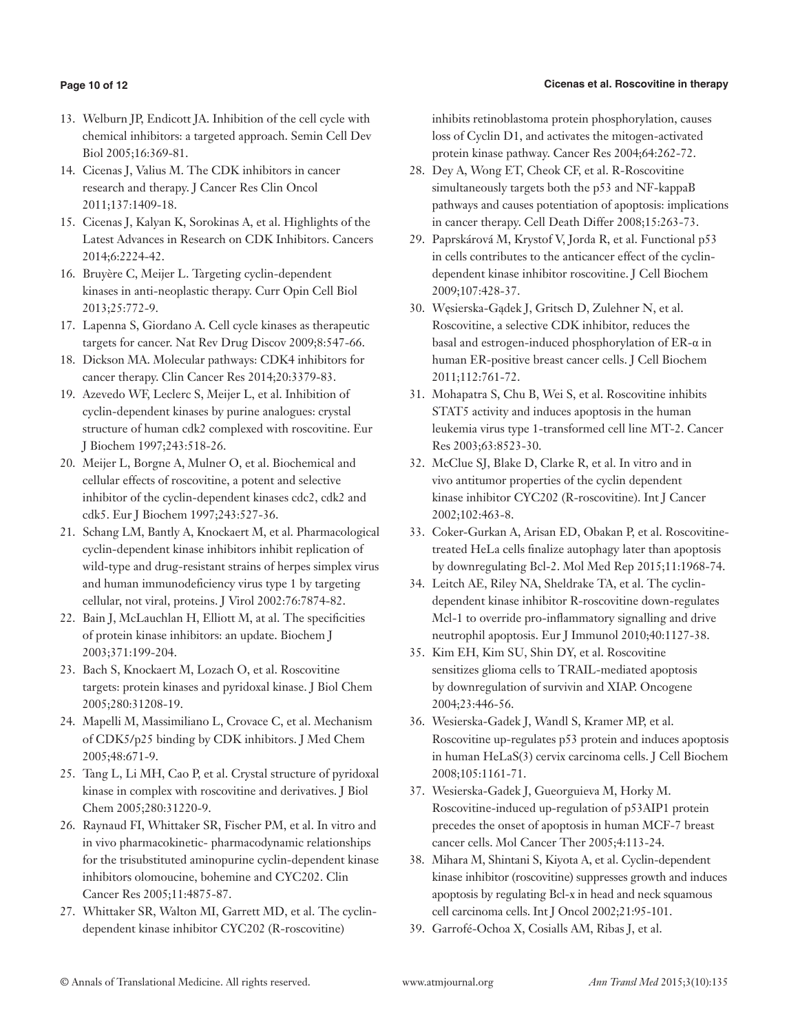## **Page 10 of 12**

- 13. Welburn JP, Endicott JA. Inhibition of the cell cycle with chemical inhibitors: a targeted approach. Semin Cell Dev Biol 2005;16:369-81.
- 14. Cicenas J, Valius M. The CDK inhibitors in cancer research and therapy. J Cancer Res Clin Oncol 2011;137:1409-18.
- 15. Cicenas J, Kalyan K, Sorokinas A, et al. Highlights of the Latest Advances in Research on CDK Inhibitors. Cancers 2014;6:2224-42.
- 16. Bruyère C, Meijer L. Targeting cyclin-dependent kinases in anti-neoplastic therapy. Curr Opin Cell Biol 2013;25:772-9.
- 17. Lapenna S, Giordano A. Cell cycle kinases as therapeutic targets for cancer. Nat Rev Drug Discov 2009;8:547-66.
- 18. Dickson MA. Molecular pathways: CDK4 inhibitors for cancer therapy. Clin Cancer Res 2014;20:3379-83.
- 19. Azevedo WF, Leclerc S, Meijer L, et al. Inhibition of cyclin-dependent kinases by purine analogues: crystal structure of human cdk2 complexed with roscovitine. Eur J Biochem 1997;243:518-26.
- 20. Meijer L, Borgne A, Mulner O, et al. Biochemical and cellular effects of roscovitine, a potent and selective inhibitor of the cyclin-dependent kinases cdc2, cdk2 and cdk5. Eur J Biochem 1997;243:527-36.
- 21. Schang LM, Bantly A, Knockaert M, et al. Pharmacological cyclin-dependent kinase inhibitors inhibit replication of wild-type and drug-resistant strains of herpes simplex virus and human immunodeficiency virus type 1 by targeting cellular, not viral, proteins. J Virol 2002:76:7874-82.
- 22. Bain J, McLauchlan H, Elliott M, at al. The specificities of protein kinase inhibitors: an update. Biochem J 2003;371:199-204.
- 23. Bach S, Knockaert M, Lozach O, et al. Roscovitine targets: protein kinases and pyridoxal kinase. J Biol Chem 2005;280:31208-19.
- 24. Mapelli M, Massimiliano L, Crovace C, et al. Mechanism of CDK5/p25 binding by CDK inhibitors. J Med Chem 2005;48:671-9.
- 25. Tang L, Li MH, Cao P, et al. Crystal structure of pyridoxal kinase in complex with roscovitine and derivatives. J Biol Chem 2005;280:31220-9.
- 26. Raynaud FI, Whittaker SR, Fischer PM, et al. In vitro and in vivo pharmacokinetic- pharmacodynamic relationships for the trisubstituted aminopurine cyclin-dependent kinase inhibitors olomoucine, bohemine and CYC202. Clin Cancer Res 2005;11:4875-87.
- 27. Whittaker SR, Walton MI, Garrett MD, et al. The cyclindependent kinase inhibitor CYC202 (R-roscovitine)

inhibits retinoblastoma protein phosphorylation, causes loss of Cyclin D1, and activates the mitogen-activated protein kinase pathway. Cancer Res 2004;64:262-72.

- 28. Dey A, Wong ET, Cheok CF, et al. R-Roscovitine simultaneously targets both the p53 and NF-kappaB pathways and causes potentiation of apoptosis: implications in cancer therapy. Cell Death Differ 2008;15:263-73.
- 29. Paprskárová M, Krystof V, Jorda R, et al. Functional p53 in cells contributes to the anticancer effect of the cyclindependent kinase inhibitor roscovitine. J Cell Biochem 2009;107:428-37.
- 30. Węsierska-Gądek J, Gritsch D, Zulehner N, et al. Roscovitine, a selective CDK inhibitor, reduces the basal and estrogen-induced phosphorylation of ER-α in human ER-positive breast cancer cells. J Cell Biochem 2011;112:761-72.
- 31. Mohapatra S, Chu B, Wei S, et al. Roscovitine inhibits STAT5 activity and induces apoptosis in the human leukemia virus type 1-transformed cell line MT-2. Cancer Res 2003;63:8523-30.
- 32. McClue SJ, Blake D, Clarke R, et al. In vitro and in vivo antitumor properties of the cyclin dependent kinase inhibitor CYC202 (R-roscovitine). Int J Cancer 2002;102:463-8.
- 33. Coker-Gurkan A, Arisan ED, Obakan P, et al. Roscovitinetreated HeLa cells finalize autophagy later than apoptosis by downregulating Bcl-2. Mol Med Rep 2015;11:1968-74.
- 34. Leitch AE, Riley NA, Sheldrake TA, et al. The cyclindependent kinase inhibitor R-roscovitine down-regulates Mcl-1 to override pro-inflammatory signalling and drive neutrophil apoptosis. Eur J Immunol 2010;40:1127-38.
- 35. Kim EH, Kim SU, Shin DY, et al. Roscovitine sensitizes glioma cells to TRAIL-mediated apoptosis by downregulation of survivin and XIAP. Oncogene 2004;23:446-56.
- 36. Wesierska-Gadek J, Wandl S, Kramer MP, et al. Roscovitine up-regulates p53 protein and induces apoptosis in human HeLaS(3) cervix carcinoma cells. J Cell Biochem 2008;105:1161-71.
- 37. Wesierska-Gadek J, Gueorguieva M, Horky M. Roscovitine-induced up-regulation of p53AIP1 protein precedes the onset of apoptosis in human MCF-7 breast cancer cells. Mol Cancer Ther 2005;4:113-24.
- 38. Mihara M, Shintani S, Kiyota A, et al. Cyclin-dependent kinase inhibitor (roscovitine) suppresses growth and induces apoptosis by regulating Bcl-x in head and neck squamous cell carcinoma cells. Int J Oncol 2002;21:95-101.
- 39. Garrofé-Ochoa X, Cosialls AM, Ribas J, et al.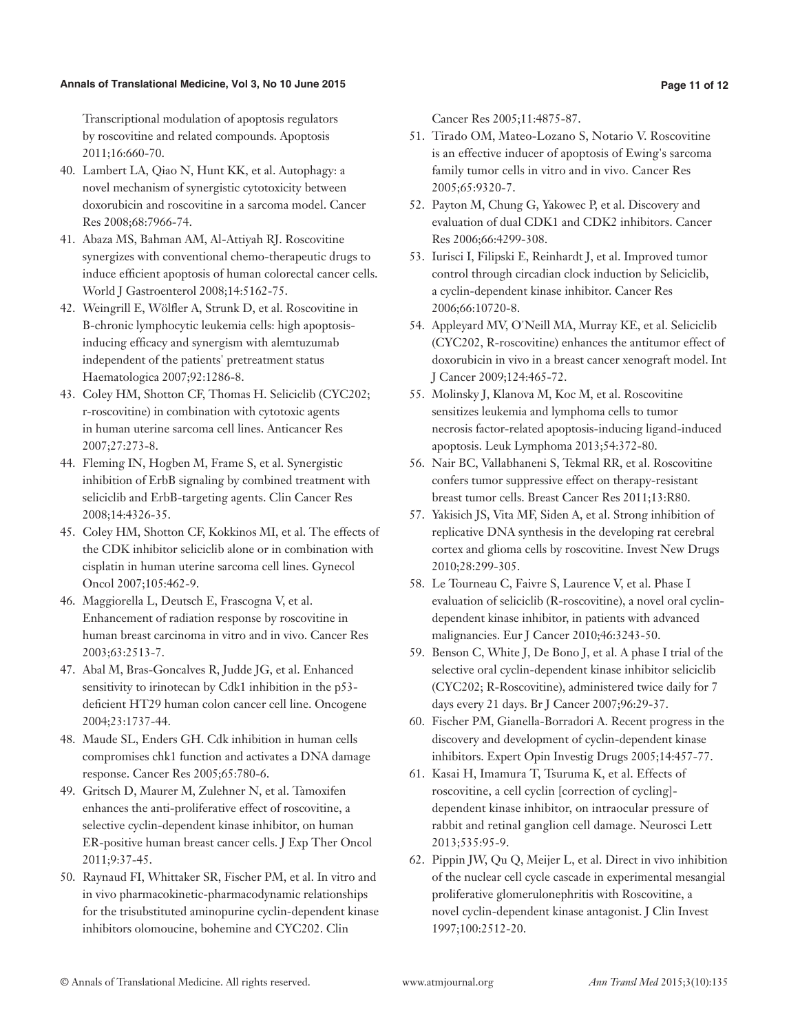#### **Annals of Translational Medicine, Vol 3, No 10 June 2015 Page 11 of 12**

Transcriptional modulation of apoptosis regulators by roscovitine and related compounds. Apoptosis 2011;16:660-70.

- 40. Lambert LA, Qiao N, Hunt KK, et al. Autophagy: a novel mechanism of synergistic cytotoxicity between doxorubicin and roscovitine in a sarcoma model. Cancer Res 2008;68:7966-74.
- 41. Abaza MS, Bahman AM, Al-Attiyah RJ. Roscovitine synergizes with conventional chemo-therapeutic drugs to induce efficient apoptosis of human colorectal cancer cells. World J Gastroenterol 2008;14:5162-75.
- 42. Weingrill E, Wölfler A, Strunk D, et al. Roscovitine in B-chronic lymphocytic leukemia cells: high apoptosisinducing efficacy and synergism with alemtuzumab independent of the patients' pretreatment status Haematologica 2007;92:1286-8.
- 43. Coley HM, Shotton CF, Thomas H. Seliciclib (CYC202; r-roscovitine) in combination with cytotoxic agents in human uterine sarcoma cell lines. Anticancer Res 2007;27:273-8.
- 44. Fleming IN, Hogben M, Frame S, et al. Synergistic inhibition of ErbB signaling by combined treatment with seliciclib and ErbB-targeting agents. Clin Cancer Res 2008;14:4326-35.
- 45. Coley HM, Shotton CF, Kokkinos MI, et al. The effects of the CDK inhibitor seliciclib alone or in combination with cisplatin in human uterine sarcoma cell lines. Gynecol Oncol 2007;105:462-9.
- 46. Maggiorella L, Deutsch E, Frascogna V, et al. Enhancement of radiation response by roscovitine in human breast carcinoma in vitro and in vivo. Cancer Res 2003;63:2513-7.
- 47. Abal M, Bras-Goncalves R, Judde JG, et al. Enhanced sensitivity to irinotecan by Cdk1 inhibition in the p53 deficient HT29 human colon cancer cell line. Oncogene 2004;23:1737-44.
- 48. Maude SL, Enders GH. Cdk inhibition in human cells compromises chk1 function and activates a DNA damage response. Cancer Res 2005;65:780-6.
- 49. Gritsch D, Maurer M, Zulehner N, et al. Tamoxifen enhances the anti-proliferative effect of roscovitine, a selective cyclin-dependent kinase inhibitor, on human ER-positive human breast cancer cells. J Exp Ther Oncol 2011;9:37-45.
- 50. Raynaud FI, Whittaker SR, Fischer PM, et al. In vitro and in vivo pharmacokinetic-pharmacodynamic relationships for the trisubstituted aminopurine cyclin-dependent kinase inhibitors olomoucine, bohemine and CYC202. Clin

Cancer Res 2005;11:4875-87.

- 51. Tirado OM, Mateo-Lozano S, Notario V. Roscovitine is an effective inducer of apoptosis of Ewing's sarcoma family tumor cells in vitro and in vivo. Cancer Res 2005;65:9320-7.
- 52. Payton M, Chung G, Yakowec P, et al. Discovery and evaluation of dual CDK1 and CDK2 inhibitors. Cancer Res 2006;66:4299-308.
- 53. Iurisci I, Filipski E, Reinhardt J, et al. Improved tumor control through circadian clock induction by Seliciclib, a cyclin-dependent kinase inhibitor. Cancer Res 2006;66:10720-8.
- 54. Appleyard MV, O'Neill MA, Murray KE, et al. Seliciclib (CYC202, R-roscovitine) enhances the antitumor effect of doxorubicin in vivo in a breast cancer xenograft model. Int J Cancer 2009;124:465-72.
- 55. Molinsky J, Klanova M, Koc M, et al. Roscovitine sensitizes leukemia and lymphoma cells to tumor necrosis factor-related apoptosis-inducing ligand-induced apoptosis. Leuk Lymphoma 2013;54:372-80.
- 56. Nair BC, Vallabhaneni S, Tekmal RR, et al. Roscovitine confers tumor suppressive effect on therapy-resistant breast tumor cells. Breast Cancer Res 2011;13:R80.
- 57. Yakisich JS, Vita MF, Siden A, et al. Strong inhibition of replicative DNA synthesis in the developing rat cerebral cortex and glioma cells by roscovitine. Invest New Drugs 2010;28:299-305.
- 58. Le Tourneau C, Faivre S, Laurence V, et al. Phase I evaluation of seliciclib (R-roscovitine), a novel oral cyclindependent kinase inhibitor, in patients with advanced malignancies. Eur J Cancer 2010;46:3243-50.
- 59. Benson C, White J, De Bono J, et al. A phase I trial of the selective oral cyclin-dependent kinase inhibitor seliciclib (CYC202; R-Roscovitine), administered twice daily for 7 days every 21 days. Br J Cancer 2007;96:29-37.
- 60. Fischer PM, Gianella-Borradori A. Recent progress in the discovery and development of cyclin-dependent kinase inhibitors. Expert Opin Investig Drugs 2005;14:457-77.
- 61. Kasai H, Imamura T, Tsuruma K, et al. Effects of roscovitine, a cell cyclin [correction of cycling] dependent kinase inhibitor, on intraocular pressure of rabbit and retinal ganglion cell damage. Neurosci Lett 2013;535:95-9.
- 62. Pippin JW, Qu Q, Meijer L, et al. Direct in vivo inhibition of the nuclear cell cycle cascade in experimental mesangial proliferative glomerulonephritis with Roscovitine, a novel cyclin-dependent kinase antagonist. J Clin Invest 1997;100:2512-20.